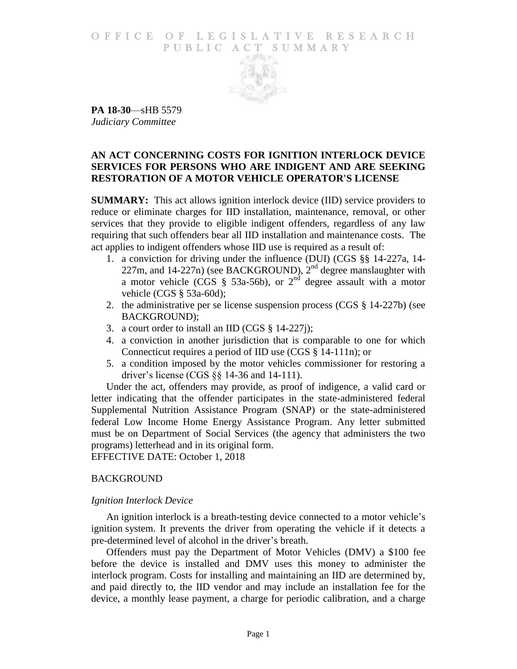#### O F FICE OF LEGISLATIVE RESEARCH PUBLIC ACT SUMMARY



**PA 18-30**—sHB 5579 *Judiciary Committee*

### **AN ACT CONCERNING COSTS FOR IGNITION INTERLOCK DEVICE SERVICES FOR PERSONS WHO ARE INDIGENT AND ARE SEEKING RESTORATION OF A MOTOR VEHICLE OPERATOR'S LICENSE**

**SUMMARY:** This act allows ignition interlock device (IID) service providers to reduce or eliminate charges for IID installation, maintenance, removal, or other services that they provide to eligible indigent offenders, regardless of any law requiring that such offenders bear all IID installation and maintenance costs. The act applies to indigent offenders whose IID use is required as a result of:

- 1. a conviction for driving under the influence (DUI) (CGS §§ 14-227a, 14- 227m, and 14-227n) (see BACKGROUND),  $2<sup>nd</sup>$  degree manslaughter with a motor vehicle (CGS  $\S$  53a-56b), or  $2<sup>nd</sup>$  degree assault with a motor vehicle (CGS § 53a-60d);
- 2. the administrative per se license suspension process (CGS § 14-227b) (see BACKGROUND);
- 3. a court order to install an IID (CGS § 14-227j);
- 4. a conviction in another jurisdiction that is comparable to one for which Connecticut requires a period of IID use (CGS § 14-111n); or
- 5. a condition imposed by the motor vehicles commissioner for restoring a driver's license (CGS §§ 14-36 and 14-111).

Under the act, offenders may provide, as proof of indigence, a valid card or letter indicating that the offender participates in the state-administered federal Supplemental Nutrition Assistance Program (SNAP) or the state-administered federal Low Income Home Energy Assistance Program. Any letter submitted must be on Department of Social Services (the agency that administers the two programs) letterhead and in its original form.

EFFECTIVE DATE: October 1, 2018

### BACKGROUND

### *Ignition Interlock Device*

An ignition interlock is a breath-testing device connected to a motor vehicle's ignition system. It prevents the driver from operating the vehicle if it detects a pre-determined level of alcohol in the driver's breath.

Offenders must pay the Department of Motor Vehicles (DMV) a \$100 fee before the device is installed and DMV uses this money to administer the interlock program. Costs for installing and maintaining an IID are determined by, and paid directly to, the IID vendor and may include an installation fee for the device, a monthly lease payment, a charge for periodic calibration, and a charge